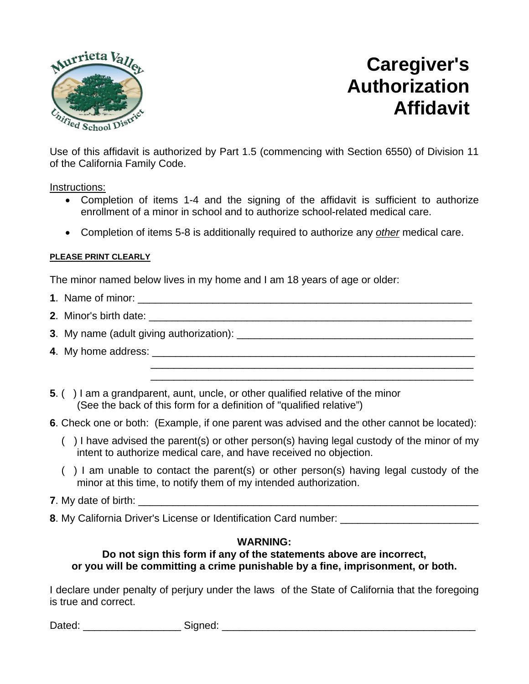

# **Caregiver's Authorization Affidavit**

Use of this affidavit is authorized by Part 1.5 (commencing with Section 6550) of Division 11 of the California Family Code.

Instructions:

- Completion of items 1-4 and the signing of the affidavit is sufficient to authorize enrollment of a minor in school and to authorize school-related medical care.
- Completion of items 5-8 is additionally required to authorize any *other* medical care.

### **PLEASE PRINT CLEARLY**

The minor named below lives in my home and I am 18 years of age or older:

- **1**. Name of minor:
- **2**. Minor's birth date:
- **3**. My name (adult giving authorization): \_\_\_\_\_\_\_\_\_\_\_\_\_\_\_\_\_\_\_\_\_\_\_\_\_\_\_\_\_\_\_\_\_\_\_\_\_\_\_\_\_
- **4**. My home address: \_\_\_\_\_\_\_\_\_\_\_\_\_\_\_\_\_\_\_\_\_\_\_\_\_\_\_\_\_\_\_\_\_\_\_\_\_\_\_\_\_\_\_\_\_\_\_\_\_\_\_\_\_\_\_\_
- **5**. ( ) I am a grandparent, aunt, uncle, or other qualified relative of the minor (See the back of this form for a definition of "qualified relative")
- **6**. Check one or both: (Example, if one parent was advised and the other cannot be located):
	- ( ) I have advised the parent(s) or other person(s) having legal custody of the minor of my intent to authorize medical care, and have received no objection.

\_\_\_\_\_\_\_\_\_\_\_\_\_\_\_\_\_\_\_\_\_\_\_\_\_\_\_\_\_\_\_\_\_\_\_\_\_\_\_\_\_\_\_\_\_\_\_\_\_\_\_\_\_\_\_\_ \_\_\_\_\_\_\_\_\_\_\_\_\_\_\_\_\_\_\_\_\_\_\_\_\_\_\_\_\_\_\_\_\_\_\_\_\_\_\_\_\_\_\_\_\_\_\_\_\_\_\_\_\_\_\_\_

- ( ) I am unable to contact the parent(s) or other person(s) having legal custody of the minor at this time, to notify them of my intended authorization.
- **7**. My date of birth:
- **8**. My California Driver's License or Identification Card number:

## **WARNING:**

### **Do not sign this form if any of the statements above are incorrect, or you will be committing a crime punishable by a fine, imprisonment, or both.**

I declare under penalty of perjury under the laws of the State of California that the foregoing is true and correct.

Dated: \_\_\_\_\_\_\_\_\_\_\_\_\_\_\_\_\_ Signed: \_\_\_\_\_\_\_\_\_\_\_\_\_\_\_\_\_\_\_\_\_\_\_\_\_\_\_\_\_\_\_\_\_\_\_\_\_\_\_\_\_\_\_\_